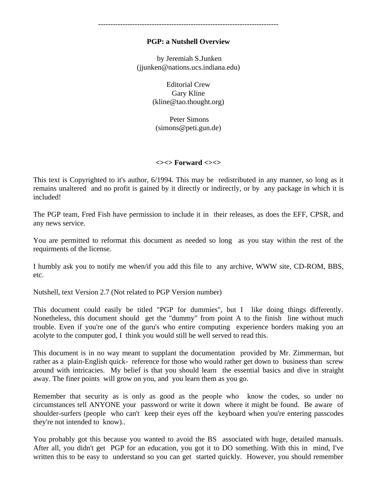#### --------------------------------------------------------------------------

### **PGP: a Nutshell Overview**

 by Jeremiah S.Junken (jjunken@nations.ucs.indiana.edu)

> Editorial Crew Gary Kline (kline@tao.thought.org)

 Peter Simons (simons@peti.gun.de)

#### **<><> Forward <><>**

This text is Copyrighted to it's author, 6/1994. This may be redistributed in any manner, so long as it remains unaltered and no profit is gained by it directly or indirectly, or by any package in which it is included!

The PGP team, Fred Fish have permission to include it in their releases, as does the EFF, CPSR, and any news service.

You are permitted to reformat this document as needed so long as you stay within the rest of the requirments of the license.

I humbly ask you to notify me when/if you add this file to any archive, WWW site, CD-ROM, BBS, etc.

Nutshell, text Version 2.7 (Not related to PGP Version number)

This document could easily be titled "PGP for dummies", but I like doing things differently. Nonetheless, this document should get the "dummy" from point A to the finish line without much trouble. Even if you're one of the guru's who entire computing experience borders making you an acolyte to the computer god, I think you would still be well served to read this.

This document is in no way meant to supplant the documentation provided by Mr. Zimmerman, but rather as a plain-English quick- reference for those who would rather get down to business than screw around with intricacies. My belief is that you should learn the essential basics and dive in straight away. The finer points will grow on you, and you learn them as you go.

Remember that security as is only as good as the people who know the codes, so under no circumstances tell ANYONE your password or write it down where it might be found. Be aware of shoulder-surfers (people who can't keep their eyes off the keyboard when you're entering passcodes they're not intended to know)..

You probably got this because you wanted to avoid the BS associated with huge, detailed manuals. After all, you didn't get PGP for an education, you got it to DO something. With this in mind, I've written this to be easy to understand so you can get started quickly. However, you should remember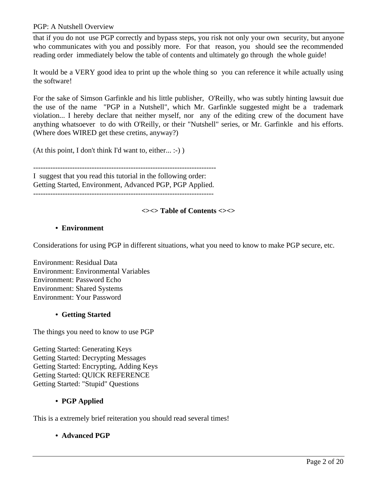that if you do not use PGP correctly and bypass steps, you risk not only your own security, but anyone who communicates with you and possibly more. For that reason, you should see the recommended reading order immediately below the table of contents and ultimately go through the whole guide!

It would be a VERY good idea to print up the whole thing so you can reference it while actually using the software!

For the sake of Simson Garfinkle and his little publisher, O'Reilly, who was subtly hinting lawsuit due the use of the name "PGP in a Nutshell", which Mr. Garfinkle suggested might be a trademark violation... I hereby declare that neither myself, nor any of the editing crew of the document have anything whatsoever to do with O'Reilly, or their "Nutshell" series, or Mr. Garfinkle and his efforts. (Where does WIRED get these cretins, anyway?)

(At this point, I don't think I'd want to, either... :-) )

--------------------------------------------------------------------------- I suggest that you read this tutorial in the following order: Getting Started, Environment, Advanced PGP, PGP Applied.

--------------------------------------------------------------------------

# **<><> Table of Contents <><>**

# **• Environment**

Considerations for using PGP in different situations, what you need to know to make PGP secure, etc.

Environment: Residual Data Environment: Environmental Variables Environment: Password Echo Environment: Shared Systems Environment: Your Password

## **• Getting Started**

The things you need to know to use PGP

Getting Started: Generating Keys Getting Started: Decrypting Messages Getting Started: Encrypting, Adding Keys Getting Started: QUICK REFERENCE Getting Started: "Stupid" Questions

# **• PGP Applied**

This is a extremely brief reiteration you should read several times!

**• Advanced PGP**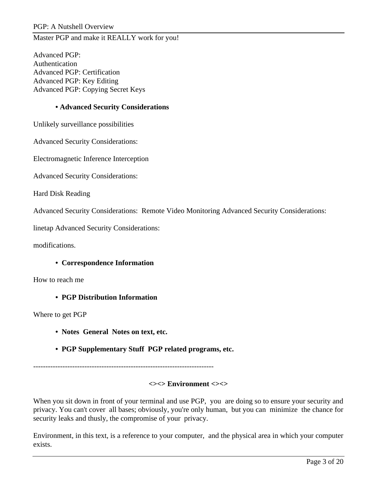Master PGP and make it REALLY work for you!

Advanced PGP: Authentication Advanced PGP: Certification Advanced PGP: Key Editing Advanced PGP: Copying Secret Keys

## **• Advanced Security Considerations**

Unlikely surveillance possibilities

Advanced Security Considerations:

Electromagnetic Inference Interception

Advanced Security Considerations:

Hard Disk Reading

Advanced Security Considerations: Remote Video Monitoring Advanced Security Considerations:

linetap Advanced Security Considerations:

modifications.

### **• Correspondence Information**

How to reach me

**• PGP Distribution Information**

Where to get PGP

- **Notes General Notes on text, etc.**
- **PGP Supplementary Stuff PGP related programs, etc.**

--------------------------------------------------------------------------

## **<><> Environment <><>**

When you sit down in front of your terminal and use PGP, you are doing so to ensure your security and privacy. You can't cover all bases; obviously, you're only human, but you can minimize the chance for security leaks and thusly, the compromise of your privacy.

Environment, in this text, is a reference to your computer, and the physical area in which your computer exists.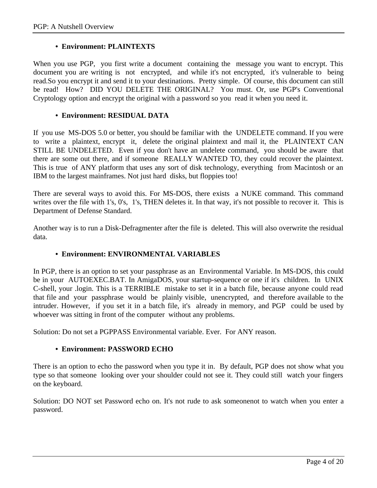## **• Environment: PLAINTEXTS**

When you use PGP, you first write a document containing the message you want to encrypt. This document you are writing is not encrypted, and while it's not encrypted, it's vulnerable to being read.So you encrypt it and send it to your destinations. Pretty simple. Of course, this document can still be read! How? DID YOU DELETE THE ORIGINAL? You must. Or, use PGP's Conventional Cryptology option and encrypt the original with a password so you read it when you need it.

## **• Environment: RESIDUAL DATA**

If you use MS-DOS 5.0 or better, you should be familiar with the UNDELETE command. If you were to write a plaintext, encrypt it, delete the original plaintext and mail it, the PLAINTEXT CAN STILL BE UNDELETED. Even if you don't have an undelete command, you should be aware that there are some out there, and if someone REALLY WANTED TO, they could recover the plaintext. This is true of ANY platform that uses any sort of disk technology, everything from Macintosh or an IBM to the largest mainframes. Not just hard disks, but floppies too!

There are several ways to avoid this. For MS-DOS, there exists a NUKE command. This command writes over the file with 1's, 0's, 1's, THEN deletes it. In that way, it's not possible to recover it. This is Department of Defense Standard.

Another way is to run a Disk-Defragmenter after the file is deleted. This will also overwrite the residual data.

## **• Environment: ENVIRONMENTAL VARIABLES**

In PGP, there is an option to set your passphrase as an Environmental Variable. In MS-DOS, this could be in your AUTOEXEC.BAT. In AmigaDOS, your startup-sequence or one if it's children. In UNIX C-shell, your .login. This is a TERRIBLE mistake to set it in a batch file, because anyone could read that file and your passphrase would be plainly visible, unencrypted, and therefore available to the intruder. However, if you set it in a batch file, it's already in memory, and PGP could be used by whoever was sitting in front of the computer without any problems.

Solution: Do not set a PGPPASS Environmental variable. Ever. For ANY reason.

## **• Environment: PASSWORD ECHO**

There is an option to echo the password when you type it in. By default, PGP does not show what you type so that someone looking over your shoulder could not see it. They could still watch your fingers on the keyboard.

Solution: DO NOT set Password echo on. It's not rude to ask someonenot to watch when you enter a password.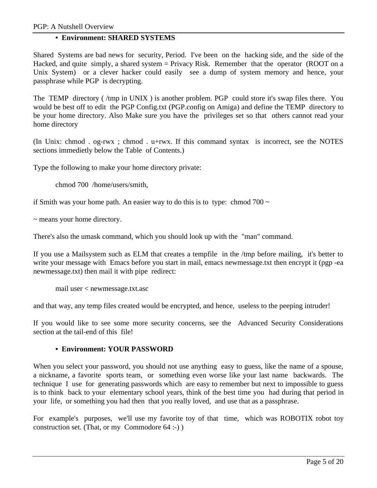## **• Environment: SHARED SYSTEMS**

Shared Systems are bad news for security, Period. I've been on the hacking side, and the side of the Hacked, and quite simply, a shared system = Privacy Risk. Remember that the operator (ROOT on a Unix System) or a clever hacker could easily see a dump of system memory and hence, your passphrase while PGP is decrypting.

The TEMP directory ( /tmp in UNIX ) is another problem. PGP could store it's swap files there. You would be best off to edit the PGP Config.txt (PGP.config on Amiga) and define the TEMP directory to be your home directory. Also Make sure you have the privileges set so that others cannot read your home directory

(In Unix: chmod . og-rwx ; chmod . u+rwx. If this command syntax is incorrect, see the NOTES sections immedietly below the Table of Contents.)

Type the following to make your home directory private:

chmod 700 /home/users/smith,

if Smith was your home path. An easier way to do this is to type: chmod  $700 \sim$ 

~ means your home directory.

There's also the umask command, which you should look up with the "man" command.

If you use a Mailsystem such as ELM that creates a tempfile in the /tmp before mailing, it's better to write your message with Emacs before you start in mail, emacs newmessage.txt then encrypt it (pgp -ea newmessage.txt) then mail it with pipe redirect:

mail user < newmessage.txt.asc

and that way, any temp files created would be encrypted, and hence, useless to the peeping intruder!

If you would like to see some more security concerns, see the Advanced Security Considerations section at the tail-end of this file!

## **• Environment: YOUR PASSWORD**

When you select your password, you should not use anything easy to guess, like the name of a spouse, a nickname, a favorite sports team, or something even worse like your last name backwards. The technique I use for generating passwords which are easy to remember but next to impossible to guess is to think back to your elementary school years, think of the best time you had during that period in your life, or something you had then that you really loved, and use that as a passphrase.

For example's purposes, we'll use my favorite toy of that time, which was ROBOTIX robot toy construction set. (That, or my Commodore 64 :-) )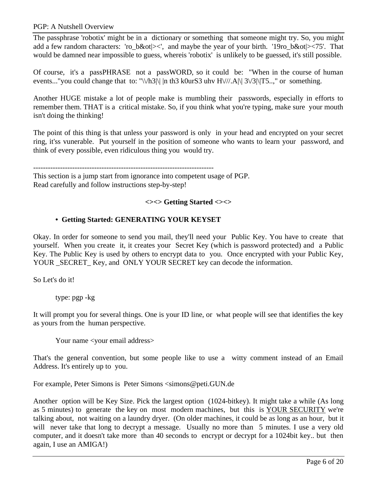The passphrase 'robotix' might be in a dictionary or something that someone might try. So, you might add a few random characters: 'ro\_b&ot|><', and maybe the year of your birth. '19ro\_b&ot|><75'. That would be damned near impossible to guess, whereis 'robotix' is unlikely to be guessed, it's still possible.

Of course, it's a passPHRASE not a passWORD, so it could be: "When in the course of human events..."you could change that to: "\\/h3\\| |n th3 k0urS3 uhv H\///.A\\| 3\/3\\|T5..," or something.

Another HUGE mistake a lot of people make is mumbling their passwords, especially in efforts to remember them. THAT is a critical mistake. So, if you think what you're typing, make sure your mouth isn't doing the thinking!

The point of this thing is that unless your password is only in your head and encrypted on your secret ring, it'ss vunerable. Put yourself in the position of someone who wants to learn your password, and think of every possible, even ridiculous thing you would try.

--------------------------------------------------------------------------

This section is a jump start from ignorance into competent usage of PGP. Read carefully and follow instructions step-by-step!

# **<><> Getting Started <><>**

## **• Getting Started: GENERATING YOUR KEYSET**

Okay. In order for someone to send you mail, they'll need your Public Key. You have to create that yourself. When you create it, it creates your Secret Key (which is password protected) and a Public Key. The Public Key is used by others to encrypt data to you. Once encrypted with your Public Key, YOUR \_SECRET\_ Key, and ONLY YOUR SECRET key can decode the information.

So Let's do it!

type: pgp -kg

It will prompt you for several things. One is your ID line, or what people will see that identifies the key as yours from the human perspective.

Your name <your email address>

That's the general convention, but some people like to use a witty comment instead of an Email Address. It's entirely up to you.

For example, Peter Simons is Peter Simons  $\leq$ simons @peti.GUN.de

Another option will be Key Size. Pick the largest option (1024-bitkey). It might take a while (As long as 5 minutes) to generate the key on most modern machines, but this is YOUR SECURITY we're talking about, not waiting on a laundry dryer. (On older machines, it could be as long as an hour, but it will never take that long to decrypt a message. Usually no more than 5 minutes. I use a very old computer, and it doesn't take more than 40 seconds to encrypt or decrypt for a 1024bit key.. but then again, I use an AMIGA!)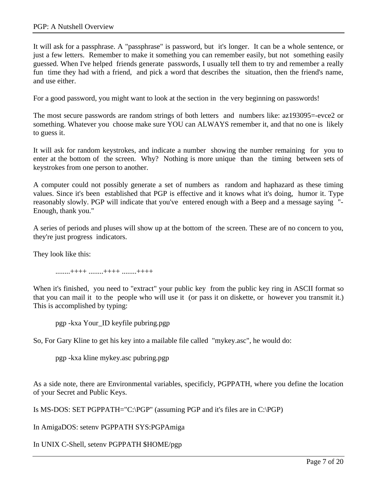It will ask for a passphrase. A "passphrase" is password, but it's longer. It can be a whole sentence, or just a few letters. Remember to make it something you can remember easily, but not something easily guessed. When I've helped friends generate passwords, I usually tell them to try and remember a really fun time they had with a friend, and pick a word that describes the situation, then the friend's name, and use either.

For a good password, you might want to look at the section in the very beginning on passwords!

The most secure passwords are random strings of both letters and numbers like: az193095=-evce2 or something. Whatever you choose make sure YOU can ALWAYS remember it, and that no one is likely to guess it.

It will ask for random keystrokes, and indicate a number showing the number remaining for you to enter at the bottom of the screen. Why? Nothing is more unique than the timing between sets of keystrokes from one person to another.

A computer could not possibly generate a set of numbers as random and haphazard as these timing values. Since it's been established that PGP is effective and it knows what it's doing, humor it. Type reasonably slowly. PGP will indicate that you've entered enough with a Beep and a message saying "- Enough, thank you."

A series of periods and pluses will show up at the bottom of the screen. These are of no concern to you, they're just progress indicators.

They look like this:

........++++ ........++++ ........++++

When it's finished, you need to "extract" your public key from the public key ring in ASCII format so that you can mail it to the people who will use it (or pass it on diskette, or however you transmit it.) This is accomplished by typing:

pgp -kxa Your\_ID keyfile pubring.pgp

So, For Gary Kline to get his key into a mailable file called "mykey.asc", he would do:

pgp -kxa kline mykey.asc pubring.pgp

As a side note, there are Environmental variables, specificly, PGPPATH, where you define the location of your Secret and Public Keys.

Is MS-DOS: SET PGPPATH="C:\PGP" (assuming PGP and it's files are in C:\PGP)

In AmigaDOS: setenv PGPPATH SYS:PGPAmiga

In UNIX C-Shell, setenv PGPPATH \$HOME/pgp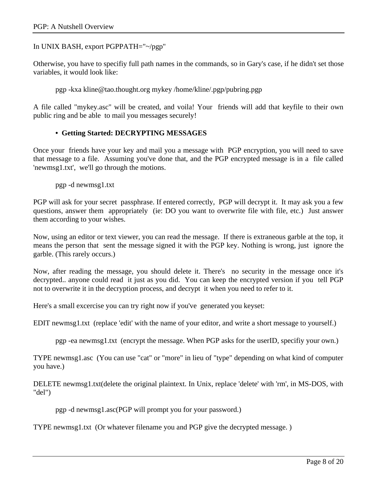## In UNIX BASH, export PGPPATH="~/pgp"

Otherwise, you have to specifiy full path names in the commands, so in Gary's case, if he didn't set those variables, it would look like:

pgp -kxa kline@tao.thought.org mykey /home/kline/.pgp/pubring.pgp

A file called "mykey.asc" will be created, and voila! Your friends will add that keyfile to their own public ring and be able to mail you messages securely!

### **• Getting Started: DECRYPTING MESSAGES**

Once your friends have your key and mail you a message with PGP encryption, you will need to save that message to a file. Assuming you've done that, and the PGP encrypted message is in a file called 'newmsg1.txt', we'll go through the motions.

pgp -d newmsg1.txt

PGP will ask for your secret passphrase. If entered correctly, PGP will decrypt it. It may ask you a few questions, answer them appropriately (ie: DO you want to overwrite file with file, etc.) Just answer them according to your wishes.

Now, using an editor or text viewer, you can read the message. If there is extraneous garble at the top, it means the person that sent the message signed it with the PGP key. Nothing is wrong, just ignore the garble. (This rarely occurs.)

Now, after reading the message, you should delete it. There's no security in the message once it's decrypted.. anyone could read it just as you did. You can keep the encrypted version if you tell PGP not to overwrite it in the decryption process, and decrypt it when you need to refer to it.

Here's a small excercise you can try right now if you've generated you keyset:

EDIT newmsg1.txt (replace 'edit' with the name of your editor, and write a short message to yourself.)

pgp -ea newmsg1.txt (encrypt the message. When PGP asks for the userID, specifiy your own.)

TYPE newmsg1.asc (You can use "cat" or "more" in lieu of "type" depending on what kind of computer you have.)

DELETE newmsg1.txt(delete the original plaintext. In Unix, replace 'delete' with 'rm', in MS-DOS, with "del")

pgp -d newmsg1.asc(PGP will prompt you for your password.)

TYPE newmsg1.txt (Or whatever filename you and PGP give the decrypted message. )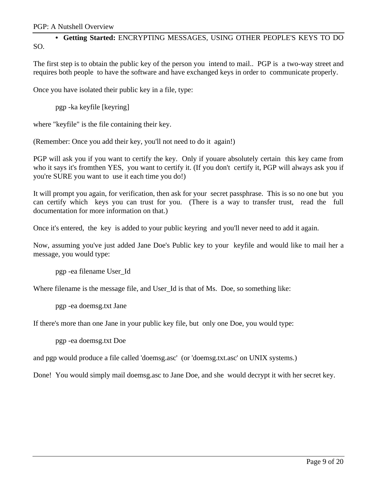**• Getting Started:** ENCRYPTING MESSAGES, USING OTHER PEOPLE'S KEYS TO DO SO.

The first step is to obtain the public key of the person you intend to mail.. PGP is a two-way street and requires both people to have the software and have exchanged keys in order to communicate properly.

Once you have isolated their public key in a file, type:

pgp -ka keyfile [keyring]

where "keyfile" is the file containing their key.

(Remember: Once you add their key, you'll not need to do it again!)

PGP will ask you if you want to certify the key. Only if youare absolutely certain this key came from who it says it's from then YES, you want to certify it. (If you don't certify it, PGP will always ask you if you're SURE you want to use it each time you do!)

It will prompt you again, for verification, then ask for your secret passphrase. This is so no one but you can certify which keys you can trust for you. (There is a way to transfer trust, read the full documentation for more information on that.)

Once it's entered, the key is added to your public keyring and you'll never need to add it again.

Now, assuming you've just added Jane Doe's Public key to your keyfile and would like to mail her a message, you would type:

pgp -ea filename User\_Id

Where filename is the message file, and User Id is that of Ms. Doe, so something like:

pgp -ea doemsg.txt Jane

If there's more than one Jane in your public key file, but only one Doe, you would type:

pgp -ea doemsg.txt Doe

and pgp would produce a file called 'doemsg.asc' (or 'doemsg.txt.asc' on UNIX systems.)

Done! You would simply mail doemsg.asc to Jane Doe, and she would decrypt it with her secret key.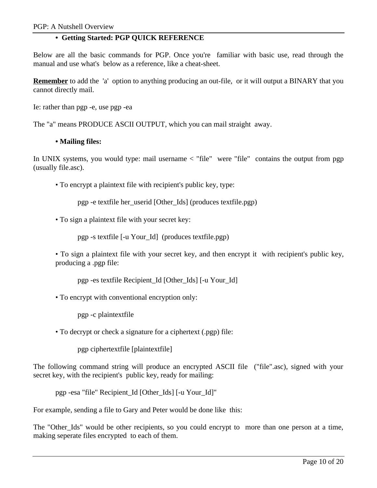# **• Getting Started: PGP QUICK REFERENCE**

Below are all the basic commands for PGP. Once you're familiar with basic use, read through the manual and use what's below as a reference, like a cheat-sheet.

**Remember** to add the 'a' option to anything producing an out-file, or it will output a BINARY that you cannot directly mail.

Ie: rather than pgp -e, use pgp -ea

The "a" means PRODUCE ASCII OUTPUT, which you can mail straight away.

## **• Mailing files:**

In UNIX systems, you would type: mail username < "file" were "file" contains the output from pgp (usually file.asc).

• To encrypt a plaintext file with recipient's public key, type:

pgp -e textfile her\_userid [Other\_Ids] (produces textfile.pgp)

• To sign a plaintext file with your secret key:

pgp -s textfile [-u Your\_Id] (produces textfile.pgp)

• To sign a plaintext file with your secret key, and then encrypt it with recipient's public key, producing a .pgp file:

pgp -es textfile Recipient\_Id [Other\_Ids] [-u Your\_Id]

• To encrypt with conventional encryption only:

pgp -c plaintextfile

• To decrypt or check a signature for a ciphertext (.pgp) file:

pgp ciphertextfile [plaintextfile]

The following command string will produce an encrypted ASCII file ("file".asc), signed with your secret key, with the recipient's public key, ready for mailing:

pgp -esa "file" Recipient\_Id [Other\_Ids] [-u Your\_Id]"

For example, sending a file to Gary and Peter would be done like this:

The "Other\_Ids" would be other recipients, so you could encrypt to more than one person at a time, making seperate files encrypted to each of them.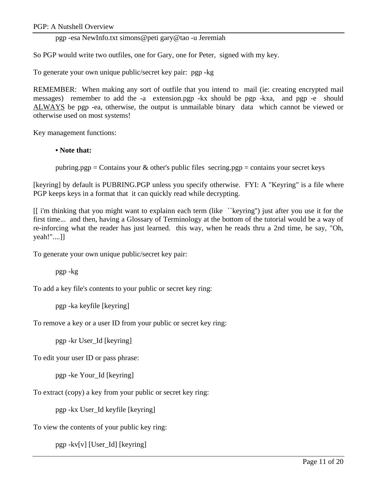pgp -esa NewInfo.txt simons@peti gary@tao -u Jeremiah

So PGP would write two outfiles, one for Gary, one for Peter, signed with my key.

To generate your own unique public/secret key pair: pgp -kg

REMEMBER: When making any sort of outfile that you intend to mail (ie: creating encrypted mail messages) remember to add the -a extension.pgp -kx should be pgp -kxa, and pgp -e should ALWAYS be pgp -ea, otherwise, the output is unmailable binary data which cannot be viewed or otherwise used on most systems!

Key management functions:

### **• Note that:**

pubring.pgp = Contains your & other's public files secring.pgp = contains your secret keys

[keyring] by default is PUBRING.PGP unless you specify otherwise. FYI: A "Keyring" is a file where PGP keeps keys in a format that it can quickly read while decrypting.

[[ i'm thinking that you might want to explainn each term (like ``keyring'') just after you use it for the first time... and then, having a Glossary of Terminology at the bottom of the tutorial would be a way of re-inforcing what the reader has just learned. this way, when he reads thru a 2nd time, he say, "Oh, yeah!"....]]

To generate your own unique public/secret key pair:

pgp -kg

To add a key file's contents to your public or secret key ring:

pgp -ka keyfile [keyring]

To remove a key or a user ID from your public or secret key ring:

pgp -kr User\_Id [keyring]

To edit your user ID or pass phrase:

pgp -ke Your\_Id [keyring]

To extract (copy) a key from your public or secret key ring:

pgp -kx User\_Id keyfile [keyring]

To view the contents of your public key ring:

pgp -kv[v] [User\_Id] [keyring]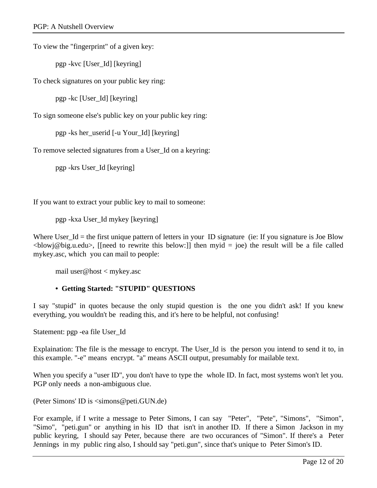To view the "fingerprint" of a given key:

pgp -kvc [User\_Id] [keyring]

To check signatures on your public key ring:

pgp -kc [User\_Id] [keyring]

To sign someone else's public key on your public key ring:

pgp -ks her\_userid [-u Your\_Id] [keyring]

To remove selected signatures from a User\_Id on a keyring:

pgp -krs User\_Id [keyring]

If you want to extract your public key to mail to someone:

pgp -kxa User\_Id mykey [keyring]

Where User\_Id = the first unique pattern of letters in your ID signature (ie: If you signature is Joe Blow  $\langle$ blowj@big.u.edu>, [[need to rewrite this below:]] then myid = joe) the result will be a file called mykey.asc, which you can mail to people:

mail user@host < mykey.asc

# **• Getting Started: "STUPID" QUESTIONS**

I say "stupid" in quotes because the only stupid question is the one you didn't ask! If you knew everything, you wouldn't be reading this, and it's here to be helpful, not confusing!

Statement: pgp -ea file User\_Id

Explaination: The file is the message to encrypt. The User\_Id is the person you intend to send it to, in this example. "-e" means encrypt. "a" means ASCII output, presumably for mailable text.

When you specify a "user ID", you don't have to type the whole ID. In fact, most systems won't let you. PGP only needs a non-ambiguous clue.

(Peter Simons' ID is <simons@peti.GUN.de)

For example, if I write a message to Peter Simons, I can say "Peter", "Pete", "Simons", "Simon", "Simo", "peti.gun" or anything in his ID that isn't in another ID. If there a Simon Jackson in my public keyring, I should say Peter, because there are two occurances of "Simon". If there's a Peter Jennings in my public ring also, I should say "peti.gun", since that's unique to Peter Simon's ID.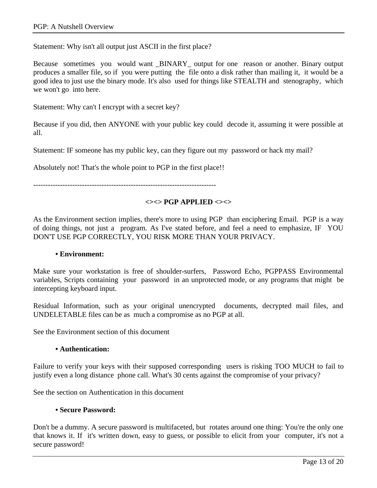Statement: Why isn't all output just ASCII in the first place?

Because sometimes you would want \_BINARY\_ output for one reason or another. Binary output produces a smaller file, so if you were putting the file onto a disk rather than mailing it, it would be a good idea to just use the binary mode. It's also used for things like STEALTH and stenography, which we won't go into here.

Statement: Why can't I encrypt with a secret key?

Because if you did, then ANYONE with your public key could decode it, assuming it were possible at all.

Statement: IF someone has my public key, can they figure out my password or hack my mail?

Absolutely not! That's the whole point to PGP in the first place!!

---------------------------------------------------------------------------

## **<><> PGP APPLIED <><>**

As the Environment section implies, there's more to using PGP than enciphering Email. PGP is a way of doing things, not just a program. As I've stated before, and feel a need to emphasize, IF YOU DON'T USE PGP CORRECTLY, YOU RISK MORE THAN YOUR PRIVACY.

### **• Environment:**

Make sure your workstation is free of shoulder-surfers, Password Echo, PGPPASS Environmental variables, Scripts containing your password in an unprotected mode, or any programs that might be intercepting keyboard input.

Residual Information, such as your original unencrypted documents, decrypted mail files, and UNDELETABLE files can be as much a compromise as no PGP at all.

See the Environment section of this document

## **• Authentication:**

Failure to verify your keys with their supposed corresponding users is risking TOO MUCH to fail to justify even a long distance phone call. What's 30 cents against the compromise of your privacy?

See the section on Authentication in this document

### **• Secure Password:**

Don't be a dummy. A secure password is multifaceted, but rotates around one thing: You're the only one that knows it. If it's written down, easy to guess, or possible to elicit from your computer, it's not a secure password!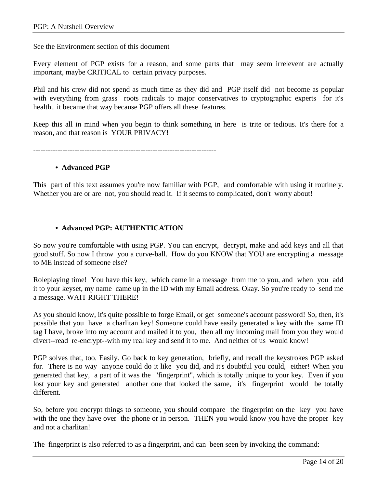See the Environment section of this document

Every element of PGP exists for a reason, and some parts that may seem irrelevent are actually important, maybe CRITICAL to certain privacy purposes.

Phil and his crew did not spend as much time as they did and PGP itself did not become as popular with everything from grass roots radicals to major conservatives to cryptographic experts for it's health.. it became that way because PGP offers all these features.

Keep this all in mind when you begin to think something in here is trite or tedious. It's there for a reason, and that reason is YOUR PRIVACY!

---------------------------------------------------------------------------

### **• Advanced PGP**

This part of this text assumes you're now familiar with PGP, and comfortable with using it routinely. Whether you are or are not, you should read it. If it seems to complicated, don't worry about!

## **• Advanced PGP: AUTHENTICATION**

So now you're comfortable with using PGP. You can encrypt, decrypt, make and add keys and all that good stuff. So now I throw you a curve-ball. How do you KNOW that YOU are encrypting a message to ME instead of someone else?

Roleplaying time! You have this key, which came in a message from me to you, and when you add it to your keyset, my name came up in the ID with my Email address. Okay. So you're ready to send me a message. WAIT RIGHT THERE!

As you should know, it's quite possible to forge Email, or get someone's account password! So, then, it's possible that you have a charlitan key! Someone could have easily generated a key with the same ID tag I have, broke into my account and mailed it to you, then all my incoming mail from you they would divert--read re-encrypt--with my real key and send it to me. And neither of us would know!

PGP solves that, too. Easily. Go back to key generation, briefly, and recall the keystrokes PGP asked for. There is no way anyone could do it like you did, and it's doubtful you could, either! When you generated that key, a part of it was the "fingerprint", which is totally unique to your key. Even if you lost your key and generated another one that looked the same, it's fingerprint would be totally different.

So, before you encrypt things to someone, you should compare the fingerprint on the key you have with the one they have over the phone or in person. THEN you would know you have the proper key and not a charlitan!

The fingerprint is also referred to as a fingerprint, and can been seen by invoking the command: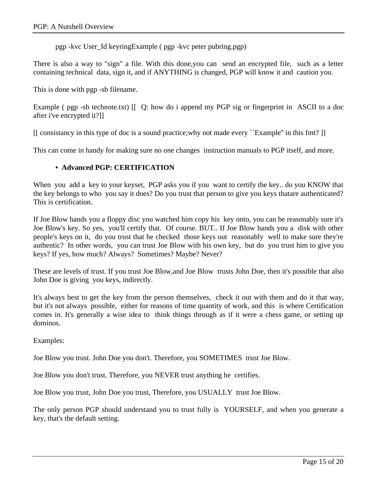pgp -kvc User\_Id keyringExample ( pgp -kvc peter pubring.pgp)

There is also a way to "sign" a file. With this done,you can send an encrypted file, such as a letter containing technical data, sign it, and if ANYTHING is changed, PGP will know it and caution you.

This is done with pgp -sb filename.

Example ( pgp -sb technote.txt) [[ Q: how do i append my PGP sig or fingerprint in ASCII to a doc after i've encrypted it?]]

[[ consistancy in this type of doc is a sound practice;why not made every ``Example'' in this fmt? ]]

This can come in handy for making sure no one changes instruction manuals to PGP itself, and more.

## **• Advanced PGP: CERTIFICATION**

When you add a key to your keyset, PGP asks you if you want to certify the key.. do you KNOW that the key belongs to who you say it does? Do you trust that person to give you keys thatare authenticated? This is certification.

If Joe Blow hands you a floppy disc you watched him copy his key onto, you can be reasonably sure it's Joe Blow's key. So yes, you'll certify that. Of course. BUT.. If Joe Blow hands you a disk with other people's keys on it, do you trust that he checked those keys out reasonably well to make sure they're authentic? In other words, you can trust Joe Blow with his own key, but do you trust him to give you keys? If yes, how much? Always? Sometimes? Maybe? Never?

These are levels of trust. If you trust Joe Blow,and Joe Blow trusts John Doe, then it's possible that also John Doe is giving you keys, indirectly.

It's always best to get the key from the person themselves, check it out with them and do it that way, but it's not always possible, either for reasons of time quantity of work, and this is where Certification comes in. It's generally a wise idea to think things through as if it were a chess game, or setting up dominos.

Examples:

Joe Blow you trust. John Doe you don't. Therefore, you SOMETIMES trust Joe Blow.

Joe Blow you don't trust. Therefore, you NEVER trust anything he certifies.

Joe Blow you trust, John Doe you trust, Therefore, you USUALLY trust Joe Blow.

The only person PGP should understand you to trust fully is YOURSELF, and when you generate a key, that's the default setting.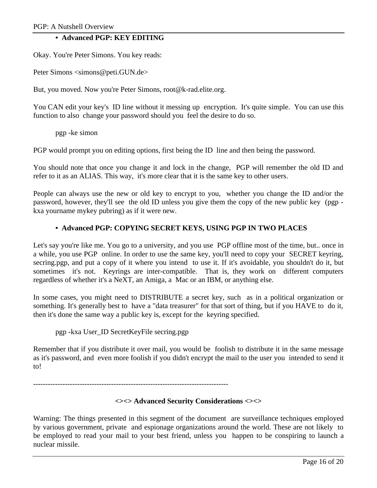# **• Advanced PGP: KEY EDITING**

Okay. You're Peter Simons. You key reads:

Peter Simons <simons@peti.GUN.de>

But, you moved. Now you're Peter Simons, root@k-rad.elite.org.

You CAN edit your key's ID line without it messing up encryption. It's quite simple. You can use this function to also change your password should you feel the desire to do so.

pgp -ke simon

PGP would prompt you on editing options, first being the ID line and then being the password.

You should note that once you change it and lock in the change, PGP will remember the old ID and refer to it as an ALIAS. This way, it's more clear that it is the same key to other users.

People can always use the new or old key to encrypt to you, whether you change the ID and/or the password, however, they'll see the old ID unless you give them the copy of the new public key (pgp kxa yourname mykey pubring) as if it were new.

## **• Advanced PGP: COPYING SECRET KEYS, USING PGP IN TWO PLACES**

Let's say you're like me. You go to a university, and you use PGP offline most of the time, but.. once in a while, you use PGP online. In order to use the same key, you'll need to copy your SECRET keyring, secring.pgp, and put a copy of it where you intend to use it. If it's avoidable, you shouldn't do it, but sometimes it's not. Keyrings are inter-compatible. That is, they work on different computers regardless of whether it's a NeXT, an Amiga, a Mac or an IBM, or anything else.

In some cases, you might need to DISTRIBUTE a secret key, such as in a political organization or something. It's generally best to have a "data treasurer" for that sort of thing, but if you HAVE to do it, then it's done the same way a public key is, except for the keyring specified.

pgp -kxa User\_ID SecretKeyFile secring.pgp

Remember that if you distribute it over mail, you would be foolish to distribute it in the same message as it's password, and even more foolish if you didn't encrypt the mail to the user you intended to send it to!

--------------------------------------------------------------------------------

## **<><> Advanced Security Considerations <><>**

Warning: The things presented in this segment of the document are surveillance techniques employed by various government, private and espionage organizations around the world. These are not likely to be employed to read your mail to your best friend, unless you happen to be conspiring to launch a nuclear missile.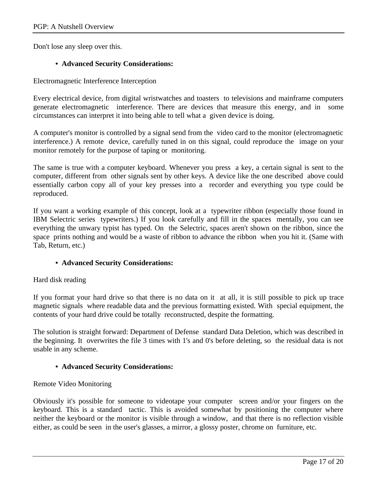Don't lose any sleep over this.

## **• Advanced Security Considerations:**

Electromagnetic Interference Interception

Every electrical device, from digital wristwatches and toasters to televisions and mainframe computers generate electromagnetic interference. There are devices that measure this energy, and in some circumstances can interpret it into being able to tell what a given device is doing.

A computer's monitor is controlled by a signal send from the video card to the monitor (electromagnetic interference.) A remote device, carefully tuned in on this signal, could reproduce the image on your monitor remotely for the purpose of taping or monitoring.

The same is true with a computer keyboard. Whenever you press a key, a certain signal is sent to the computer, different from other signals sent by other keys. A device like the one described above could essentially carbon copy all of your key presses into a recorder and everything you type could be reproduced.

If you want a working example of this concept, look at a typewriter ribbon (especially those found in IBM Selectric series typewriters.) If you look carefully and fill in the spaces mentally, you can see everything the unwary typist has typed. On the Selectric, spaces aren't shown on the ribbon, since the space prints nothing and would be a waste of ribbon to advance the ribbon when you hit it. (Same with Tab, Return, etc.)

## **• Advanced Security Considerations:**

Hard disk reading

If you format your hard drive so that there is no data on it at all, it is still possible to pick up trace magnetic signals where readable data and the previous formatting existed. With special equipment, the contents of your hard drive could be totally reconstructed, despite the formatting.

The solution is straight forward: Department of Defense standard Data Deletion, which was described in the beginning. It overwrites the file 3 times with 1's and 0's before deleting, so the residual data is not usable in any scheme.

### **• Advanced Security Considerations:**

### Remote Video Monitoring

Obviously it's possible for someone to videotape your computer screen and/or your fingers on the keyboard. This is a standard tactic. This is avoided somewhat by positioning the computer where neither the keyboard or the monitor is visible through a window, and that there is no reflection visible either, as could be seen in the user's glasses, a mirror, a glossy poster, chrome on furniture, etc.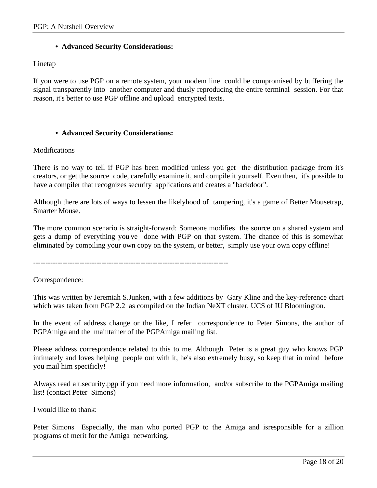## **• Advanced Security Considerations:**

### Linetap

If you were to use PGP on a remote system, your modem line could be compromised by buffering the signal transparently into another computer and thusly reproducing the entire terminal session. For that reason, it's better to use PGP offline and upload encrypted texts.

### **• Advanced Security Considerations:**

### Modifications

There is no way to tell if PGP has been modified unless you get the distribution package from it's creators, or get the source code, carefully examine it, and compile it yourself. Even then, it's possible to have a compiler that recognizes security applications and creates a "backdoor".

Although there are lots of ways to lessen the likelyhood of tampering, it's a game of Better Mousetrap, Smarter Mouse.

The more common scenario is straight-forward: Someone modifies the source on a shared system and gets a dump of everything you've done with PGP on that system. The chance of this is somewhat eliminated by compiling your own copy on the system, or better, simply use your own copy offline!

--------------------------------------------------------------------------------

Correspondence:

This was written by Jeremiah S.Junken, with a few additions by Gary Kline and the key-reference chart which was taken from PGP 2.2 as compiled on the Indian NeXT cluster, UCS of IU Bloomington.

In the event of address change or the like, I refer correspondence to Peter Simons, the author of PGPAmiga and the maintainer of the PGPAmiga mailing list.

Please address correspondence related to this to me. Although Peter is a great guy who knows PGP intimately and loves helping people out with it, he's also extremely busy, so keep that in mind before you mail him specificly!

Always read alt.security.pgp if you need more information, and/or subscribe to the PGPAmiga mailing list! (contact Peter Simons)

I would like to thank:

Peter Simons Especially, the man who ported PGP to the Amiga and isresponsible for a zillion programs of merit for the Amiga networking.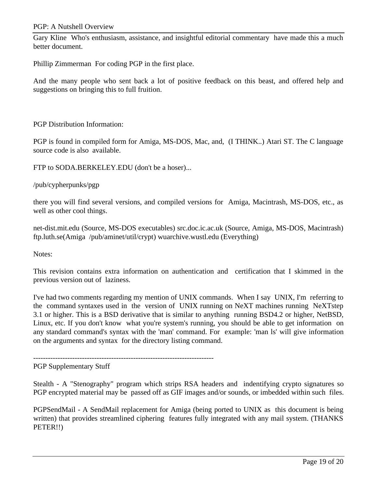Gary Kline Who's enthusiasm, assistance, and insightful editorial commentary have made this a much better document.

Phillip Zimmerman For coding PGP in the first place.

And the many people who sent back a lot of positive feedback on this beast, and offered help and suggestions on bringing this to full fruition.

PGP Distribution Information:

PGP is found in compiled form for Amiga, MS-DOS, Mac, and, (I THINK..) Atari ST. The C language source code is also available.

FTP to SODA.BERKELEY.EDU (don't be a hoser)...

/pub/cypherpunks/pgp

there you will find several versions, and compiled versions for Amiga, Macintrash, MS-DOS, etc., as well as other cool things.

net-dist.mit.edu (Source, MS-DOS executables) src.doc.ic.ac.uk (Source, Amiga, MS-DOS, Macintrash) ftp.luth.se(Amiga /pub/aminet/util/crypt) wuarchive.wustl.edu (Everything)

Notes:

This revision contains extra information on authentication and certification that I skimmed in the previous version out of laziness.

I've had two comments regarding my mention of UNIX commands. When I say UNIX, I'm referring to the command syntaxes used in the version of UNIX running on NeXT machines running NeXTstep 3.1 or higher. This is a BSD derivative that is similar to anything running BSD4.2 or higher, NetBSD, Linux, etc. If you don't know what you're system's running, you should be able to get information on any standard command's syntax with the 'man' command. For example: 'man ls' will give information on the arguments and syntax for the directory listing command.

--------------------------------------------------------------------------

PGP Supplementary Stuff

Stealth - A "Stenography" program which strips RSA headers and indentifying crypto signatures so PGP encrypted material may be passed off as GIF images and/or sounds, or imbedded within such files.

PGPSendMail - A SendMail replacement for Amiga (being ported to UNIX as this document is being written) that provides streamlined ciphering features fully integrated with any mail system. (THANKS PETER!!)